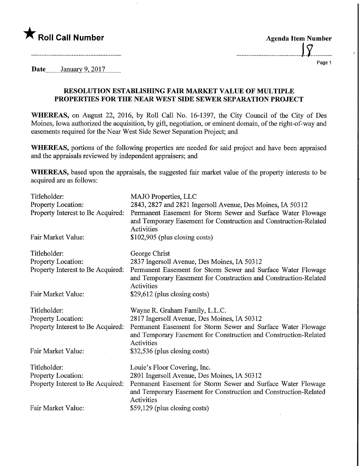

| <b>Agenda Item Number</b> |    |  |
|---------------------------|----|--|
|                           | Iσ |  |

.....

Page 1

Date........January 9, 2017.........

## RESOLUTION ESTABLISHING FAIR MARKET VALUE OF MULTIPLE PROPERTIES FOR THE NEAR WEST SIDE SEWER SEPARATION PROJECT

WHEREAS, on August 22, 2016, by Roll Call No. 16-1397, the City Council of the City of Des Moines, Iowa authorized the acquisition, by gift, negotiation, or eminent domain, of the right-of-way and easements required for the Near West Side Sewer Separation Project; and

WHEREAS, portions of the following properties are needed for said project and have been appraised and the appraisals reviewed by independent appraisers; and

WHEREAS, based upon the appraisals, the suggested fair market value of the property interests to be acquired are as follows:

| Titleholder:<br>Property Location:<br>Property Interest to Be Acquired:<br>Fair Market Value: | MAJO Properties, LLC<br>2843, 2827 and 2821 Ingersoll Avenue, Des Moines, IA 50312<br>Permanent Easement for Storm Sewer and Surface Water Flowage<br>and Temporary Easement for Construction and Construction-Related<br>Activities<br>$$102,905$ (plus closing costs) |
|-----------------------------------------------------------------------------------------------|-------------------------------------------------------------------------------------------------------------------------------------------------------------------------------------------------------------------------------------------------------------------------|
|                                                                                               |                                                                                                                                                                                                                                                                         |
| Titleholder:                                                                                  | George Christ                                                                                                                                                                                                                                                           |
| Property Location:<br>Property Interest to Be Acquired:                                       | 2837 Ingersoll Avenue, Des Moines, IA 50312<br>Permanent Easement for Storm Sewer and Surface Water Flowage<br>and Temporary Easement for Construction and Construction-Related<br>Activities                                                                           |
| Fair Market Value:                                                                            | \$29,612 (plus closing costs)                                                                                                                                                                                                                                           |
| Titleholder:                                                                                  | Wayne R. Graham Family, L.L.C.                                                                                                                                                                                                                                          |
| Property Location:                                                                            | 2817 Ingersoll Avenue, Des Moines, IA 50312                                                                                                                                                                                                                             |
| Property Interest to Be Acquired:                                                             | Permanent Easement for Storm Sewer and Surface Water Flowage<br>and Temporary Easement for Construction and Construction-Related<br>Activities                                                                                                                          |
| Fair Market Value:                                                                            | \$32,536 (plus closing costs)                                                                                                                                                                                                                                           |
| Titleholder:                                                                                  | Louie's Floor Covering, Inc.                                                                                                                                                                                                                                            |
| Property Location:                                                                            | 2801 Ingersoll Avenue, Des Moines, IA 50312                                                                                                                                                                                                                             |
| Property Interest to Be Acquired:                                                             | Permanent Easement for Storm Sewer and Surface Water Flowage<br>and Temporary Easement for Construction and Construction-Related<br>Activities                                                                                                                          |
| Fair Market Value:                                                                            | \$59,129 (plus closing costs)                                                                                                                                                                                                                                           |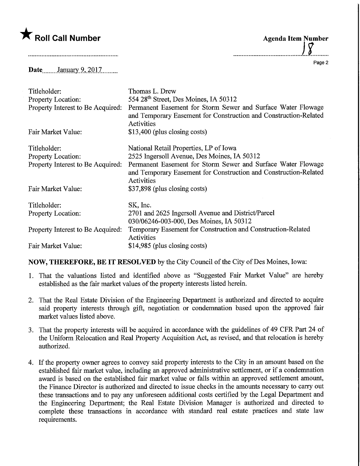## $\bigstar$  Roll Call Number

Agenda Item Number

Page 2

Date January 9, 2017

| Titleholder:                      | Thomas L. Drew                                                                                                                                 |
|-----------------------------------|------------------------------------------------------------------------------------------------------------------------------------------------|
| <b>Property Location:</b>         | 554 28th Street, Des Moines, IA 50312                                                                                                          |
| Property Interest to Be Acquired: | Permanent Easement for Storm Sewer and Surface Water Flowage<br>and Temporary Easement for Construction and Construction-Related<br>Activities |
| Fair Market Value:                | \$13,400 (plus closing costs)                                                                                                                  |
| Titleholder:                      | National Retail Properties, LP of Iowa                                                                                                         |
| <b>Property Location:</b>         | 2525 Ingersoll Avenue, Des Moines, IA 50312                                                                                                    |
| Property Interest to Be Acquired: | Permanent Easement for Storm Sewer and Surface Water Flowage<br>and Temporary Easement for Construction and Construction-Related<br>Activities |
| Fair Market Value:                | \$37,898 (plus closing costs)                                                                                                                  |
| Titleholder:                      | SK, Inc.                                                                                                                                       |
| Property Location:                | 2701 and 2625 Ingersoll Avenue and District/Parcel                                                                                             |
|                                   | 030/06246-003-000, Des Moines, IA 50312                                                                                                        |
| Property Interest to Be Acquired: | Temporary Easement for Construction and Construction-Related<br>Activities                                                                     |
| Fair Market Value:                | \$14,985 (plus closing costs)                                                                                                                  |

## NOW, THEREFORE, BE IT RESOLVED by the City Council of the City of Des Moines, Iowa:

- 1. That the valuations listed and identified above as "Suggested Fair Market Value" are hereby established as the fair market values of the property interests listed herein.
- 2. That the Real Estate Division of the Engineering Department is authorized and directed to acquire said property interests through gift, negotiation or condemnation based upon the approved fair market values listed above.
- 3. That the property interests will be acquired in accordance with the guidelines of 49 CFR Part 24 of the Uniform Relocation and Real Property Acquisition Act, as revised, and that relocation is hereby authorized.
- 4. If the property owner agrees to convey said property interests to the City in an amount based on the established fair market value, including an approved administrative settlement, or if a condemnation award is based on the established fair market value or falls within an approved settlement amount, the Finance Director is authorized and directed to issue checks in the amounts necessary to carry out these transactions and to pay any unforeseen additional costs certified by the Legal Department and the Engineering Department; the Real Estate Division Manager is authorized and directed to complete these transactions in accordance with standard real estate practices and state law requirements.